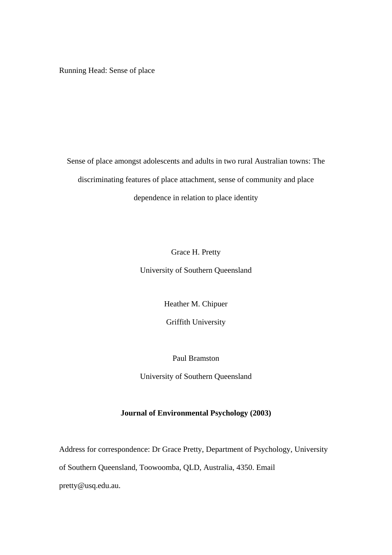Running Head: Sense of place

Sense of place amongst adolescents and adults in two rural Australian towns: The discriminating features of place attachment, sense of community and place dependence in relation to place identity

Grace H. Pretty

University of Southern Queensland

Heather M. Chipuer

Griffith University

Paul Bramston

University of Southern Queensland

#### **Journal of Environmental Psychology (2003)**

Address for correspondence: Dr Grace Pretty, Department of Psychology, University of Southern Queensland, Toowoomba, QLD, Australia, 4350. Email pretty@usq.edu.au.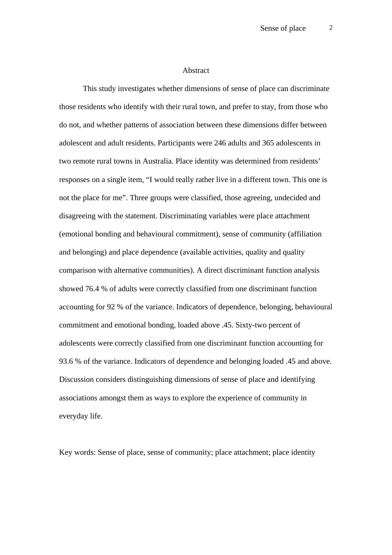#### **Abstract**

This study investigates whether dimensions of sense of place can discriminate those residents who identify with their rural town, and prefer to stay, from those who do not, and whether patterns of association between these dimensions differ between adolescent and adult residents. Participants were 246 adults and 365 adolescents in two remote rural towns in Australia. Place identity was determined from residents' responses on a single item, "I would really rather live in a different town. This one is not the place for me". Three groups were classified, those agreeing, undecided and disagreeing with the statement. Discriminating variables were place attachment (emotional bonding and behavioural commitment), sense of community (affiliation and belonging) and place dependence (available activities, quality and quality comparison with alternative communities). A direct discriminant function analysis showed 76.4 % of adults were correctly classified from one discriminant function accounting for 92 % of the variance. Indicators of dependence, belonging, behavioural commitment and emotional bonding, loaded above .45. Sixty-two percent of adolescents were correctly classified from one discriminant function accounting for 93.6 % of the variance. Indicators of dependence and belonging loaded .45 and above. Discussion considers distinguishing dimensions of sense of place and identifying associations amongst them as ways to explore the experience of community in everyday life.

Key words: Sense of place, sense of community; place attachment; place identity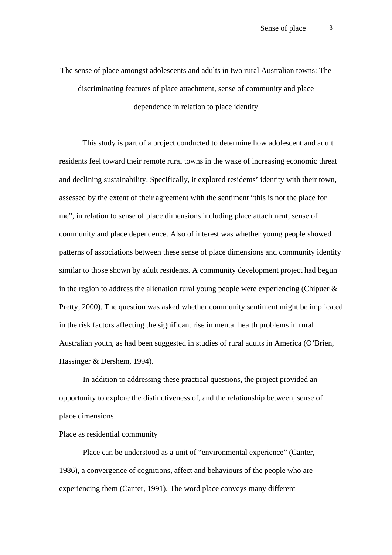The sense of place amongst adolescents and adults in two rural Australian towns: The discriminating features of place attachment, sense of community and place dependence in relation to place identity

This study is part of a project conducted to determine how adolescent and adult residents feel toward their remote rural towns in the wake of increasing economic threat and declining sustainability. Specifically, it explored residents' identity with their town, assessed by the extent of their agreement with the sentiment "this is not the place for me", in relation to sense of place dimensions including place attachment, sense of community and place dependence. Also of interest was whether young people showed patterns of associations between these sense of place dimensions and community identity similar to those shown by adult residents. A community development project had begun in the region to address the alienation rural young people were experiencing (Chipuer  $\&$ Pretty, 2000). The question was asked whether community sentiment might be implicated in the risk factors affecting the significant rise in mental health problems in rural Australian youth, as had been suggested in studies of rural adults in America (O'Brien, Hassinger & Dershem, 1994).

In addition to addressing these practical questions, the project provided an opportunity to explore the distinctiveness of, and the relationship between, sense of place dimensions.

### Place as residential community

Place can be understood as a unit of "environmental experience" (Canter, 1986), a convergence of cognitions, affect and behaviours of the people who are experiencing them (Canter, 1991). The word place conveys many different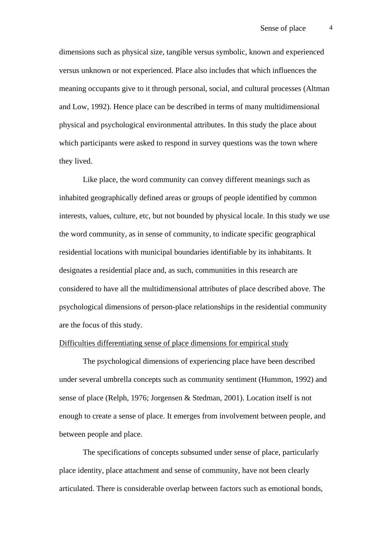dimensions such as physical size, tangible versus symbolic, known and experienced versus unknown or not experienced. Place also includes that which influences the meaning occupants give to it through personal, social, and cultural processes (Altman and Low, 1992). Hence place can be described in terms of many multidimensional physical and psychological environmental attributes. In this study the place about which participants were asked to respond in survey questions was the town where they lived.

Like place, the word community can convey different meanings such as inhabited geographically defined areas or groups of people identified by common interests, values, culture, etc, but not bounded by physical locale. In this study we use the word community, as in sense of community, to indicate specific geographical residential locations with municipal boundaries identifiable by its inhabitants. It designates a residential place and, as such, communities in this research are considered to have all the multidimensional attributes of place described above. The psychological dimensions of person-place relationships in the residential community are the focus of this study.

## Difficulties differentiating sense of place dimensions for empirical study

The psychological dimensions of experiencing place have been described under several umbrella concepts such as community sentiment (Hummon, 1992) and sense of place (Relph, 1976; Jorgensen & Stedman, 2001). Location itself is not enough to create a sense of place. It emerges from involvement between people, and between people and place.

The specifications of concepts subsumed under sense of place, particularly place identity, place attachment and sense of community, have not been clearly articulated. There is considerable overlap between factors such as emotional bonds,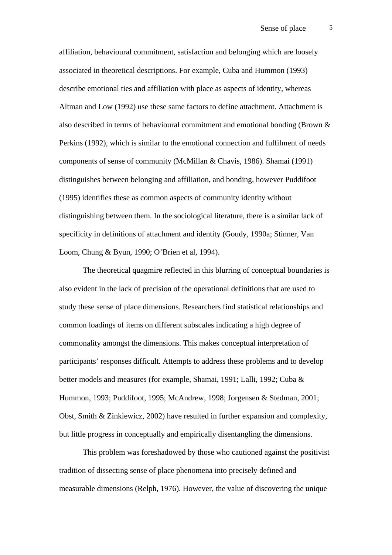affiliation, behavioural commitment, satisfaction and belonging which are loosely associated in theoretical descriptions. For example, Cuba and Hummon (1993) describe emotional ties and affiliation with place as aspects of identity, whereas Altman and Low (1992) use these same factors to define attachment. Attachment is also described in terms of behavioural commitment and emotional bonding (Brown & Perkins (1992), which is similar to the emotional connection and fulfilment of needs components of sense of community (McMillan & Chavis, 1986). Shamai (1991) distinguishes between belonging and affiliation, and bonding, however Puddifoot (1995) identifies these as common aspects of community identity without distinguishing between them. In the sociological literature, there is a similar lack of specificity in definitions of attachment and identity (Goudy, 1990a; Stinner, Van Loom, Chung & Byun, 1990; O'Brien et al, 1994).

The theoretical quagmire reflected in this blurring of conceptual boundaries is also evident in the lack of precision of the operational definitions that are used to study these sense of place dimensions. Researchers find statistical relationships and common loadings of items on different subscales indicating a high degree of commonality amongst the dimensions. This makes conceptual interpretation of participants' responses difficult. Attempts to address these problems and to develop better models and measures (for example, Shamai, 1991; Lalli, 1992; Cuba & Hummon, 1993; Puddifoot, 1995; McAndrew, 1998; Jorgensen & Stedman, 2001; Obst, Smith & Zinkiewicz, 2002) have resulted in further expansion and complexity, but little progress in conceptually and empirically disentangling the dimensions.

This problem was foreshadowed by those who cautioned against the positivist tradition of dissecting sense of place phenomena into precisely defined and measurable dimensions (Relph, 1976). However, the value of discovering the unique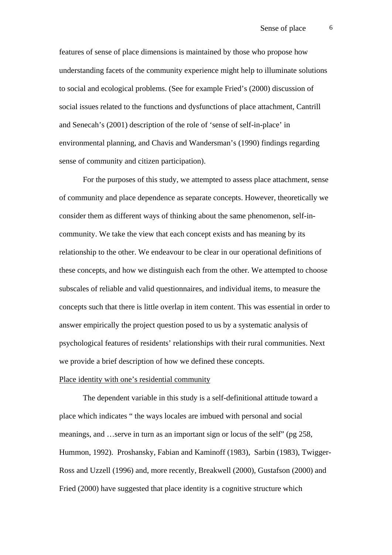features of sense of place dimensions is maintained by those who propose how understanding facets of the community experience might help to illuminate solutions to social and ecological problems. (See for example Fried's (2000) discussion of social issues related to the functions and dysfunctions of place attachment, Cantrill and Senecah's (2001) description of the role of 'sense of self-in-place' in environmental planning, and Chavis and Wandersman's (1990) findings regarding sense of community and citizen participation).

For the purposes of this study, we attempted to assess place attachment, sense of community and place dependence as separate concepts. However, theoretically we consider them as different ways of thinking about the same phenomenon, self-incommunity. We take the view that each concept exists and has meaning by its relationship to the other. We endeavour to be clear in our operational definitions of these concepts, and how we distinguish each from the other. We attempted to choose subscales of reliable and valid questionnaires, and individual items, to measure the concepts such that there is little overlap in item content. This was essential in order to answer empirically the project question posed to us by a systematic analysis of psychological features of residents' relationships with their rural communities. Next we provide a brief description of how we defined these concepts.

### Place identity with one's residential community

The dependent variable in this study is a self-definitional attitude toward a place which indicates " the ways locales are imbued with personal and social meanings, and …serve in turn as an important sign or locus of the self" (pg 258, Hummon, 1992). Proshansky, Fabian and Kaminoff (1983), Sarbin (1983), Twigger-Ross and Uzzell (1996) and, more recently, Breakwell (2000), Gustafson (2000) and Fried (2000) have suggested that place identity is a cognitive structure which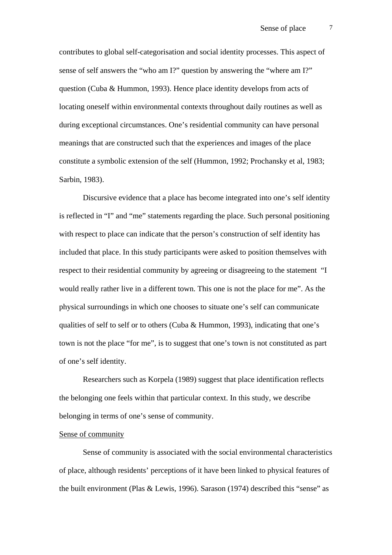contributes to global self-categorisation and social identity processes. This aspect of sense of self answers the "who am I?" question by answering the "where am I?" question (Cuba & Hummon, 1993). Hence place identity develops from acts of locating oneself within environmental contexts throughout daily routines as well as during exceptional circumstances. One's residential community can have personal meanings that are constructed such that the experiences and images of the place constitute a symbolic extension of the self (Hummon, 1992; Prochansky et al, 1983; Sarbin, 1983).

Discursive evidence that a place has become integrated into one's self identity is reflected in "I" and "me" statements regarding the place. Such personal positioning with respect to place can indicate that the person's construction of self identity has included that place. In this study participants were asked to position themselves with respect to their residential community by agreeing or disagreeing to the statement "I would really rather live in a different town. This one is not the place for me". As the physical surroundings in which one chooses to situate one's self can communicate qualities of self to self or to others (Cuba & Hummon, 1993), indicating that one's town is not the place "for me", is to suggest that one's town is not constituted as part of one's self identity.

Researchers such as Korpela (1989) suggest that place identification reflects the belonging one feels within that particular context. In this study, we describe belonging in terms of one's sense of community.

#### Sense of community

Sense of community is associated with the social environmental characteristics of place, although residents' perceptions of it have been linked to physical features of the built environment (Plas & Lewis, 1996). Sarason (1974) described this "sense" as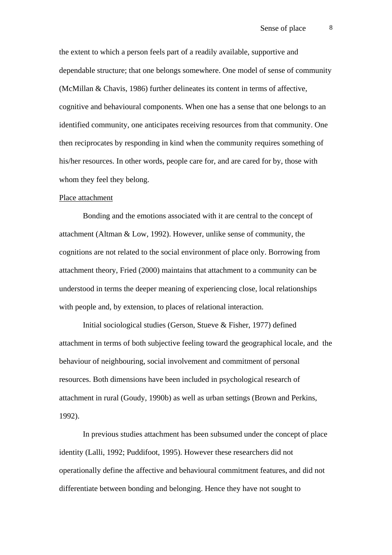the extent to which a person feels part of a readily available, supportive and dependable structure; that one belongs somewhere. One model of sense of community (McMillan & Chavis, 1986) further delineates its content in terms of affective, cognitive and behavioural components. When one has a sense that one belongs to an identified community, one anticipates receiving resources from that community. One then reciprocates by responding in kind when the community requires something of his/her resources. In other words, people care for, and are cared for by, those with whom they feel they belong.

#### Place attachment

Bonding and the emotions associated with it are central to the concept of attachment (Altman & Low, 1992). However, unlike sense of community, the cognitions are not related to the social environment of place only. Borrowing from attachment theory, Fried (2000) maintains that attachment to a community can be understood in terms the deeper meaning of experiencing close, local relationships with people and, by extension, to places of relational interaction.

Initial sociological studies (Gerson, Stueve & Fisher, 1977) defined attachment in terms of both subjective feeling toward the geographical locale, and the behaviour of neighbouring, social involvement and commitment of personal resources. Both dimensions have been included in psychological research of attachment in rural (Goudy, 1990b) as well as urban settings (Brown and Perkins, 1992).

In previous studies attachment has been subsumed under the concept of place identity (Lalli, 1992; Puddifoot, 1995). However these researchers did not operationally define the affective and behavioural commitment features, and did not differentiate between bonding and belonging. Hence they have not sought to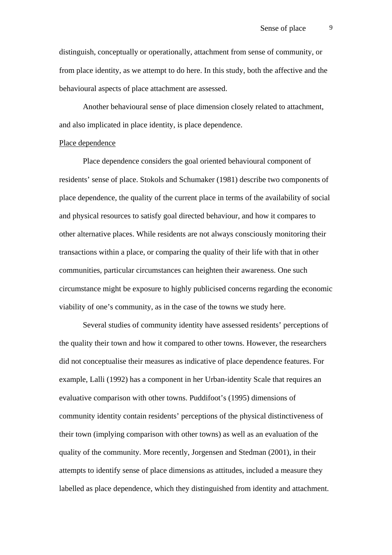distinguish, conceptually or operationally, attachment from sense of community, or from place identity, as we attempt to do here. In this study, both the affective and the behavioural aspects of place attachment are assessed.

Another behavioural sense of place dimension closely related to attachment, and also implicated in place identity, is place dependence.

## Place dependence

Place dependence considers the goal oriented behavioural component of residents' sense of place. Stokols and Schumaker (1981) describe two components of place dependence, the quality of the current place in terms of the availability of social and physical resources to satisfy goal directed behaviour, and how it compares to other alternative places. While residents are not always consciously monitoring their transactions within a place, or comparing the quality of their life with that in other communities, particular circumstances can heighten their awareness. One such circumstance might be exposure to highly publicised concerns regarding the economic viability of one's community, as in the case of the towns we study here.

Several studies of community identity have assessed residents' perceptions of the quality their town and how it compared to other towns. However, the researchers did not conceptualise their measures as indicative of place dependence features. For example, Lalli (1992) has a component in her Urban-identity Scale that requires an evaluative comparison with other towns. Puddifoot's (1995) dimensions of community identity contain residents' perceptions of the physical distinctiveness of their town (implying comparison with other towns) as well as an evaluation of the quality of the community. More recently, Jorgensen and Stedman (2001), in their attempts to identify sense of place dimensions as attitudes, included a measure they labelled as place dependence, which they distinguished from identity and attachment.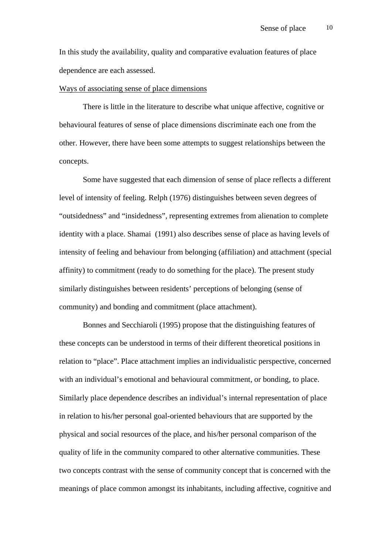In this study the availability, quality and comparative evaluation features of place dependence are each assessed.

#### Ways of associating sense of place dimensions

There is little in the literature to describe what unique affective, cognitive or behavioural features of sense of place dimensions discriminate each one from the other. However, there have been some attempts to suggest relationships between the concepts.

Some have suggested that each dimension of sense of place reflects a different level of intensity of feeling. Relph (1976) distinguishes between seven degrees of "outsidedness" and "insidedness", representing extremes from alienation to complete identity with a place. Shamai (1991) also describes sense of place as having levels of intensity of feeling and behaviour from belonging (affiliation) and attachment (special affinity) to commitment (ready to do something for the place). The present study similarly distinguishes between residents' perceptions of belonging (sense of community) and bonding and commitment (place attachment).

Bonnes and Secchiaroli (1995) propose that the distinguishing features of these concepts can be understood in terms of their different theoretical positions in relation to "place". Place attachment implies an individualistic perspective, concerned with an individual's emotional and behavioural commitment, or bonding, to place. Similarly place dependence describes an individual's internal representation of place in relation to his/her personal goal-oriented behaviours that are supported by the physical and social resources of the place, and his/her personal comparison of the quality of life in the community compared to other alternative communities. These two concepts contrast with the sense of community concept that is concerned with the meanings of place common amongst its inhabitants, including affective, cognitive and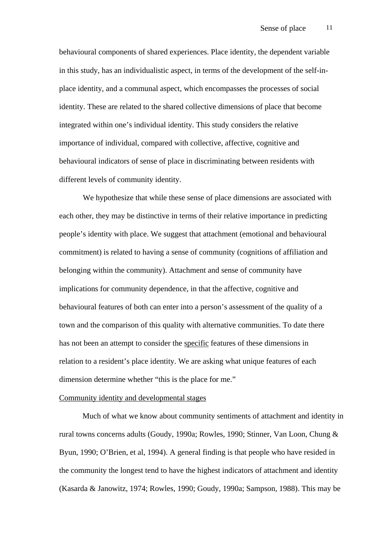behavioural components of shared experiences. Place identity, the dependent variable in this study, has an individualistic aspect, in terms of the development of the self-inplace identity, and a communal aspect, which encompasses the processes of social identity. These are related to the shared collective dimensions of place that become integrated within one's individual identity. This study considers the relative importance of individual, compared with collective, affective, cognitive and behavioural indicators of sense of place in discriminating between residents with different levels of community identity.

We hypothesize that while these sense of place dimensions are associated with each other, they may be distinctive in terms of their relative importance in predicting people's identity with place. We suggest that attachment (emotional and behavioural commitment) is related to having a sense of community (cognitions of affiliation and belonging within the community). Attachment and sense of community have implications for community dependence, in that the affective, cognitive and behavioural features of both can enter into a person's assessment of the quality of a town and the comparison of this quality with alternative communities. To date there has not been an attempt to consider the specific features of these dimensions in relation to a resident's place identity. We are asking what unique features of each dimension determine whether "this is the place for me."

#### Community identity and developmental stages

Much of what we know about community sentiments of attachment and identity in rural towns concerns adults (Goudy, 1990a; Rowles, 1990; Stinner, Van Loon, Chung & Byun, 1990; O'Brien, et al, 1994). A general finding is that people who have resided in the community the longest tend to have the highest indicators of attachment and identity (Kasarda & Janowitz, 1974; Rowles, 1990; Goudy, 1990a; Sampson, 1988). This may be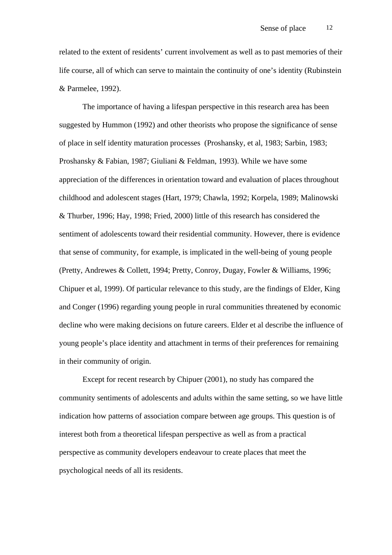related to the extent of residents' current involvement as well as to past memories of their life course, all of which can serve to maintain the continuity of one's identity (Rubinstein & Parmelee, 1992).

The importance of having a lifespan perspective in this research area has been suggested by Hummon (1992) and other theorists who propose the significance of sense of place in self identity maturation processes (Proshansky, et al, 1983; Sarbin, 1983; Proshansky & Fabian, 1987; Giuliani & Feldman, 1993). While we have some appreciation of the differences in orientation toward and evaluation of places throughout childhood and adolescent stages (Hart, 1979; Chawla, 1992; Korpela, 1989; Malinowski & Thurber, 1996; Hay, 1998; Fried, 2000) little of this research has considered the sentiment of adolescents toward their residential community. However, there is evidence that sense of community, for example, is implicated in the well-being of young people (Pretty, Andrewes & Collett, 1994; Pretty, Conroy, Dugay, Fowler & Williams, 1996; Chipuer et al, 1999). Of particular relevance to this study, are the findings of Elder, King and Conger (1996) regarding young people in rural communities threatened by economic decline who were making decisions on future careers. Elder et al describe the influence of young people's place identity and attachment in terms of their preferences for remaining in their community of origin.

Except for recent research by Chipuer (2001), no study has compared the community sentiments of adolescents and adults within the same setting, so we have little indication how patterns of association compare between age groups. This question is of interest both from a theoretical lifespan perspective as well as from a practical perspective as community developers endeavour to create places that meet the psychological needs of all its residents.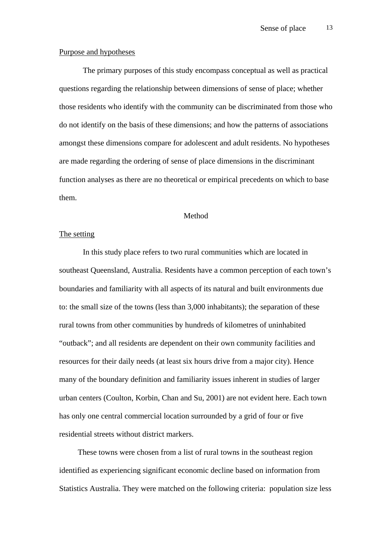#### Purpose and hypotheses

The primary purposes of this study encompass conceptual as well as practical questions regarding the relationship between dimensions of sense of place; whether those residents who identify with the community can be discriminated from those who do not identify on the basis of these dimensions; and how the patterns of associations amongst these dimensions compare for adolescent and adult residents. No hypotheses are made regarding the ordering of sense of place dimensions in the discriminant function analyses as there are no theoretical or empirical precedents on which to base them.

### Method

## The setting

In this study place refers to two rural communities which are located in southeast Queensland, Australia. Residents have a common perception of each town's boundaries and familiarity with all aspects of its natural and built environments due to: the small size of the towns (less than 3,000 inhabitants); the separation of these rural towns from other communities by hundreds of kilometres of uninhabited "outback"; and all residents are dependent on their own community facilities and resources for their daily needs (at least six hours drive from a major city). Hence many of the boundary definition and familiarity issues inherent in studies of larger urban centers (Coulton, Korbin, Chan and Su, 2001) are not evident here. Each town has only one central commercial location surrounded by a grid of four or five residential streets without district markers.

 These towns were chosen from a list of rural towns in the southeast region identified as experiencing significant economic decline based on information from Statistics Australia. They were matched on the following criteria: population size less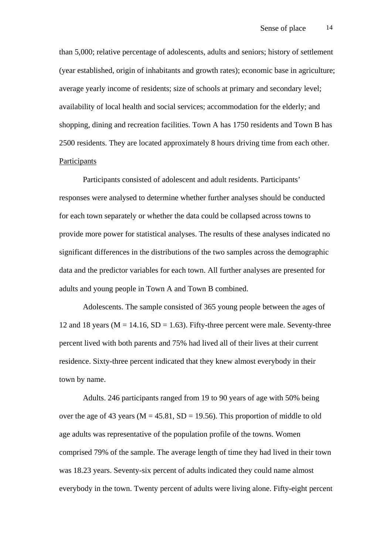than 5,000; relative percentage of adolescents, adults and seniors; history of settlement (year established, origin of inhabitants and growth rates); economic base in agriculture; average yearly income of residents; size of schools at primary and secondary level; availability of local health and social services; accommodation for the elderly; and shopping, dining and recreation facilities. Town A has 1750 residents and Town B has 2500 residents. They are located approximately 8 hours driving time from each other. **Participants** 

Participants consisted of adolescent and adult residents. Participants' responses were analysed to determine whether further analyses should be conducted for each town separately or whether the data could be collapsed across towns to provide more power for statistical analyses. The results of these analyses indicated no significant differences in the distributions of the two samples across the demographic data and the predictor variables for each town. All further analyses are presented for adults and young people in Town A and Town B combined.

Adolescents. The sample consisted of 365 young people between the ages of 12 and 18 years ( $M = 14.16$ ,  $SD = 1.63$ ). Fifty-three percent were male. Seventy-three percent lived with both parents and 75% had lived all of their lives at their current residence. Sixty-three percent indicated that they knew almost everybody in their town by name.

Adults. 246 participants ranged from 19 to 90 years of age with 50% being over the age of 43 years ( $M = 45.81$ ,  $SD = 19.56$ ). This proportion of middle to old age adults was representative of the population profile of the towns. Women comprised 79% of the sample. The average length of time they had lived in their town was 18.23 years. Seventy-six percent of adults indicated they could name almost everybody in the town. Twenty percent of adults were living alone. Fifty-eight percent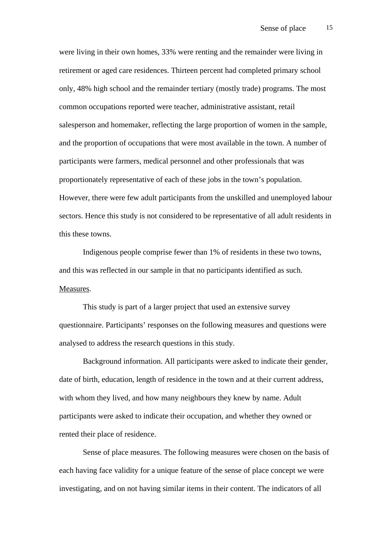were living in their own homes, 33% were renting and the remainder were living in retirement or aged care residences. Thirteen percent had completed primary school only, 48% high school and the remainder tertiary (mostly trade) programs. The most common occupations reported were teacher, administrative assistant, retail salesperson and homemaker, reflecting the large proportion of women in the sample, and the proportion of occupations that were most available in the town. A number of participants were farmers, medical personnel and other professionals that was proportionately representative of each of these jobs in the town's population. However, there were few adult participants from the unskilled and unemployed labour sectors. Hence this study is not considered to be representative of all adult residents in this these towns.

Indigenous people comprise fewer than 1% of residents in these two towns, and this was reflected in our sample in that no participants identified as such. Measures.

This study is part of a larger project that used an extensive survey questionnaire. Participants' responses on the following measures and questions were analysed to address the research questions in this study.

Background information. All participants were asked to indicate their gender, date of birth, education, length of residence in the town and at their current address, with whom they lived, and how many neighbours they knew by name. Adult participants were asked to indicate their occupation, and whether they owned or rented their place of residence.

Sense of place measures. The following measures were chosen on the basis of each having face validity for a unique feature of the sense of place concept we were investigating, and on not having similar items in their content. The indicators of all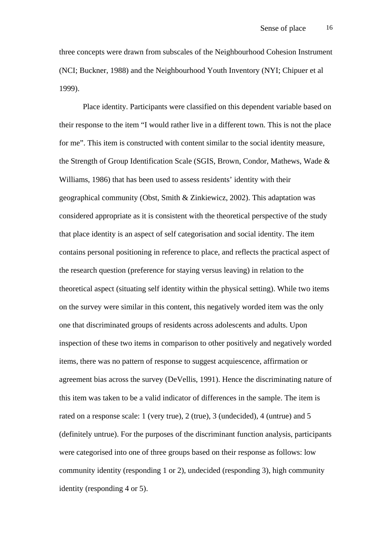three concepts were drawn from subscales of the Neighbourhood Cohesion Instrument (NCI; Buckner, 1988) and the Neighbourhood Youth Inventory (NYI; Chipuer et al 1999).

Place identity. Participants were classified on this dependent variable based on their response to the item "I would rather live in a different town. This is not the place for me". This item is constructed with content similar to the social identity measure, the Strength of Group Identification Scale (SGIS, Brown, Condor, Mathews, Wade & Williams, 1986) that has been used to assess residents' identity with their geographical community (Obst, Smith & Zinkiewicz, 2002). This adaptation was considered appropriate as it is consistent with the theoretical perspective of the study that place identity is an aspect of self categorisation and social identity. The item contains personal positioning in reference to place, and reflects the practical aspect of the research question (preference for staying versus leaving) in relation to the theoretical aspect (situating self identity within the physical setting). While two items on the survey were similar in this content, this negatively worded item was the only one that discriminated groups of residents across adolescents and adults. Upon inspection of these two items in comparison to other positively and negatively worded items, there was no pattern of response to suggest acquiescence, affirmation or agreement bias across the survey (DeVellis, 1991). Hence the discriminating nature of this item was taken to be a valid indicator of differences in the sample. The item is rated on a response scale: 1 (very true), 2 (true), 3 (undecided), 4 (untrue) and 5 (definitely untrue). For the purposes of the discriminant function analysis, participants were categorised into one of three groups based on their response as follows: low community identity (responding 1 or 2), undecided (responding 3), high community identity (responding 4 or 5).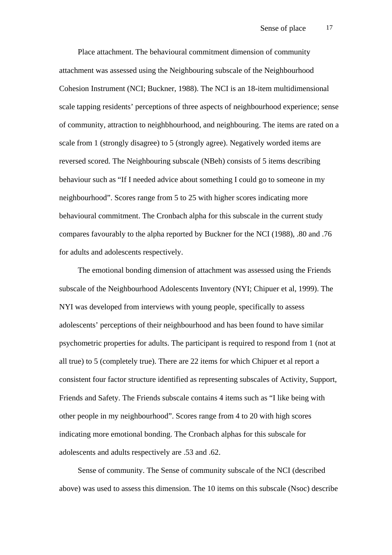Place attachment. The behavioural commitment dimension of community attachment was assessed using the Neighbouring subscale of the Neighbourhood Cohesion Instrument (NCI; Buckner, 1988). The NCI is an 18-item multidimensional scale tapping residents' perceptions of three aspects of neighbourhood experience; sense of community, attraction to neighbhourhood, and neighbouring. The items are rated on a scale from 1 (strongly disagree) to 5 (strongly agree). Negatively worded items are reversed scored. The Neighbouring subscale (NBeh) consists of 5 items describing behaviour such as "If I needed advice about something I could go to someone in my neighbourhood". Scores range from 5 to 25 with higher scores indicating more behavioural commitment. The Cronbach alpha for this subscale in the current study compares favourably to the alpha reported by Buckner for the NCI (1988), .80 and .76 for adults and adolescents respectively.

 The emotional bonding dimension of attachment was assessed using the Friends subscale of the Neighbourhood Adolescents Inventory (NYI; Chipuer et al, 1999). The NYI was developed from interviews with young people, specifically to assess adolescents' perceptions of their neighbourhood and has been found to have similar psychometric properties for adults. The participant is required to respond from 1 (not at all true) to 5 (completely true). There are 22 items for which Chipuer et al report a consistent four factor structure identified as representing subscales of Activity, Support, Friends and Safety. The Friends subscale contains 4 items such as "I like being with other people in my neighbourhood". Scores range from 4 to 20 with high scores indicating more emotional bonding. The Cronbach alphas for this subscale for adolescents and adults respectively are .53 and .62.

 Sense of community. The Sense of community subscale of the NCI (described above) was used to assess this dimension. The 10 items on this subscale (Nsoc) describe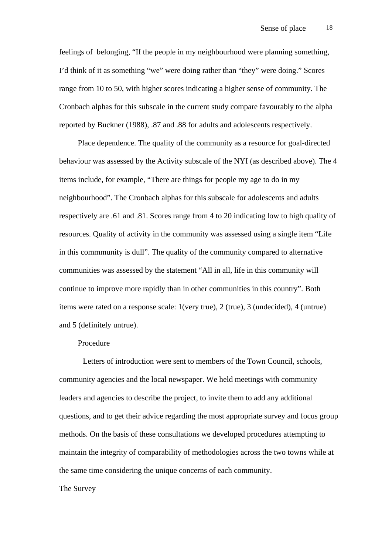feelings of belonging, "If the people in my neighbourhood were planning something, I'd think of it as something "we" were doing rather than "they" were doing." Scores range from 10 to 50, with higher scores indicating a higher sense of community. The Cronbach alphas for this subscale in the current study compare favourably to the alpha reported by Buckner (1988), .87 and .88 for adults and adolescents respectively.

 Place dependence. The quality of the community as a resource for goal-directed behaviour was assessed by the Activity subscale of the NYI (as described above). The 4 items include, for example, "There are things for people my age to do in my neighbourhood". The Cronbach alphas for this subscale for adolescents and adults respectively are .61 and .81. Scores range from 4 to 20 indicating low to high quality of resources. Quality of activity in the community was assessed using a single item "Life in this commmunity is dull". The quality of the community compared to alternative communities was assessed by the statement "All in all, life in this community will continue to improve more rapidly than in other communities in this country". Both items were rated on a response scale: 1(very true), 2 (true), 3 (undecided), 4 (untrue) and 5 (definitely untrue).

## Procedure

 Letters of introduction were sent to members of the Town Council, schools, community agencies and the local newspaper. We held meetings with community leaders and agencies to describe the project, to invite them to add any additional questions, and to get their advice regarding the most appropriate survey and focus group methods. On the basis of these consultations we developed procedures attempting to maintain the integrity of comparability of methodologies across the two towns while at the same time considering the unique concerns of each community.

## The Survey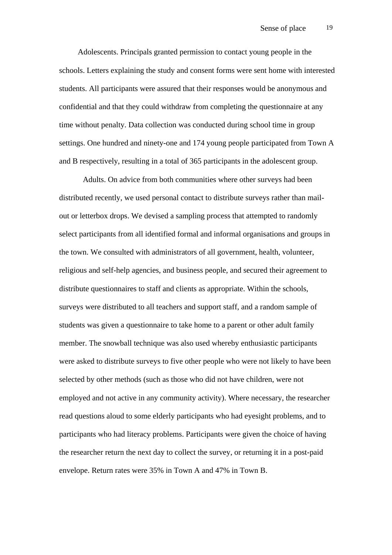Adolescents. Principals granted permission to contact young people in the schools. Letters explaining the study and consent forms were sent home with interested students. All participants were assured that their responses would be anonymous and confidential and that they could withdraw from completing the questionnaire at any time without penalty. Data collection was conducted during school time in group settings. One hundred and ninety-one and 174 young people participated from Town A and B respectively, resulting in a total of 365 participants in the adolescent group.

Adults. On advice from both communities where other surveys had been distributed recently, we used personal contact to distribute surveys rather than mailout or letterbox drops. We devised a sampling process that attempted to randomly select participants from all identified formal and informal organisations and groups in the town. We consulted with administrators of all government, health, volunteer, religious and self-help agencies, and business people, and secured their agreement to distribute questionnaires to staff and clients as appropriate. Within the schools, surveys were distributed to all teachers and support staff, and a random sample of students was given a questionnaire to take home to a parent or other adult family member. The snowball technique was also used whereby enthusiastic participants were asked to distribute surveys to five other people who were not likely to have been selected by other methods (such as those who did not have children, were not employed and not active in any community activity). Where necessary, the researcher read questions aloud to some elderly participants who had eyesight problems, and to participants who had literacy problems. Participants were given the choice of having the researcher return the next day to collect the survey, or returning it in a post-paid envelope. Return rates were 35% in Town A and 47% in Town B.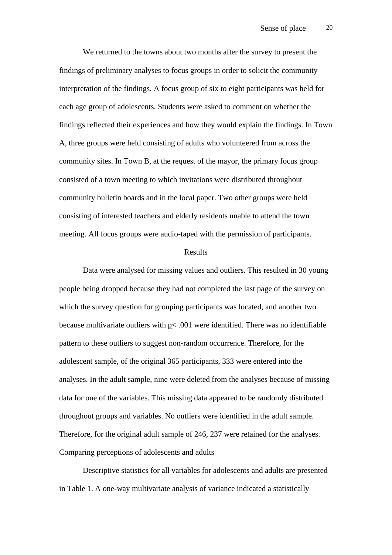We returned to the towns about two months after the survey to present the findings of preliminary analyses to focus groups in order to solicit the community interpretation of the findings. A focus group of six to eight participants was held for each age group of adolescents. Students were asked to comment on whether the findings reflected their experiences and how they would explain the findings. In Town A, three groups were held consisting of adults who volunteered from across the community sites. In Town B, at the request of the mayor, the primary focus group consisted of a town meeting to which invitations were distributed throughout community bulletin boards and in the local paper. Two other groups were held consisting of interested teachers and elderly residents unable to attend the town meeting. All focus groups were audio-taped with the permission of participants.

### Results

Data were analysed for missing values and outliers. This resulted in 30 young people being dropped because they had not completed the last page of the survey on which the survey question for grouping participants was located, and another two because multivariate outliers with p< .001 were identified. There was no identifiable pattern to these outliers to suggest non-random occurrence. Therefore, for the adolescent sample, of the original 365 participants, 333 were entered into the analyses. In the adult sample, nine were deleted from the analyses because of missing data for one of the variables. This missing data appeared to be randomly distributed throughout groups and variables. No outliers were identified in the adult sample. Therefore, for the original adult sample of 246, 237 were retained for the analyses. Comparing perceptions of adolescents and adults

 Descriptive statistics for all variables for adolescents and adults are presented in Table 1. A one-way multivariate analysis of variance indicated a statistically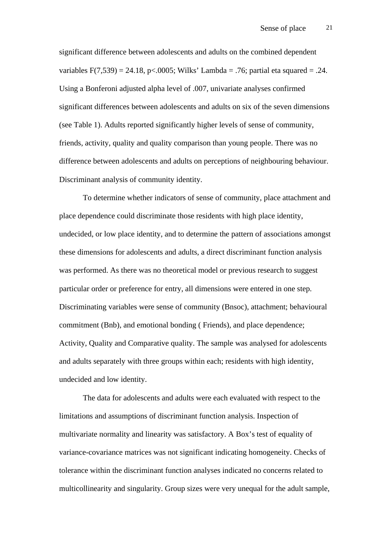significant difference between adolescents and adults on the combined dependent variables  $F(7,539) = 24.18$ , p<.0005; Wilks' Lambda = .76; partial eta squared = .24. Using a Bonferoni adjusted alpha level of .007, univariate analyses confirmed significant differences between adolescents and adults on six of the seven dimensions (see Table 1). Adults reported significantly higher levels of sense of community, friends, activity, quality and quality comparison than young people. There was no difference between adolescents and adults on perceptions of neighbouring behaviour. Discriminant analysis of community identity.

To determine whether indicators of sense of community, place attachment and place dependence could discriminate those residents with high place identity, undecided, or low place identity, and to determine the pattern of associations amongst these dimensions for adolescents and adults, a direct discriminant function analysis was performed. As there was no theoretical model or previous research to suggest particular order or preference for entry, all dimensions were entered in one step. Discriminating variables were sense of community (Bnsoc), attachment; behavioural commitment (Bnb), and emotional bonding ( Friends), and place dependence; Activity, Quality and Comparative quality. The sample was analysed for adolescents and adults separately with three groups within each; residents with high identity, undecided and low identity.

 The data for adolescents and adults were each evaluated with respect to the limitations and assumptions of discriminant function analysis. Inspection of multivariate normality and linearity was satisfactory. A Box's test of equality of variance-covariance matrices was not significant indicating homogeneity. Checks of tolerance within the discriminant function analyses indicated no concerns related to multicollinearity and singularity. Group sizes were very unequal for the adult sample,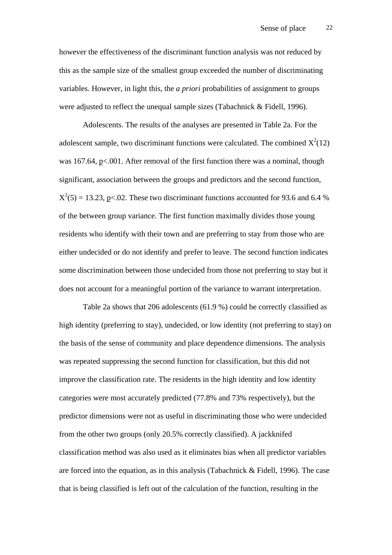however the effectiveness of the discriminant function analysis was not reduced by this as the sample size of the smallest group exceeded the number of discriminating variables. However, in light this, the *a priori* probabilities of assignment to groups were adjusted to reflect the unequal sample sizes (Tabachnick & Fidell, 1996).

 Adolescents. The results of the analyses are presented in Table 2a. For the adolescent sample, two discriminant functions were calculated. The combined  $X^2(12)$ was 167.64, p<.001. After removal of the first function there was a nominal, though significant, association between the groups and predictors and the second function,  $X^2(5) = 13.23$ , p<.02. These two discriminant functions accounted for 93.6 and 6.4 % of the between group variance. The first function maximally divides those young residents who identify with their town and are preferring to stay from those who are either undecided or do not identify and prefer to leave. The second function indicates some discrimination between those undecided from those not preferring to stay but it does not account for a meaningful portion of the variance to warrant interpretation.

Table 2a shows that 206 adolescents (61.9 %) could be correctly classified as high identity (preferring to stay), undecided, or low identity (not preferring to stay) on the basis of the sense of community and place dependence dimensions. The analysis was repeated suppressing the second function for classification, but this did not improve the classification rate. The residents in the high identity and low identity categories were most accurately predicted (77.8% and 73% respectively), but the predictor dimensions were not as useful in discriminating those who were undecided from the other two groups (only 20.5% correctly classified). A jackknifed classification method was also used as it eliminates bias when all predictor variables are forced into the equation, as in this analysis (Tabachnick & Fidell, 1996). The case that is being classified is left out of the calculation of the function, resulting in the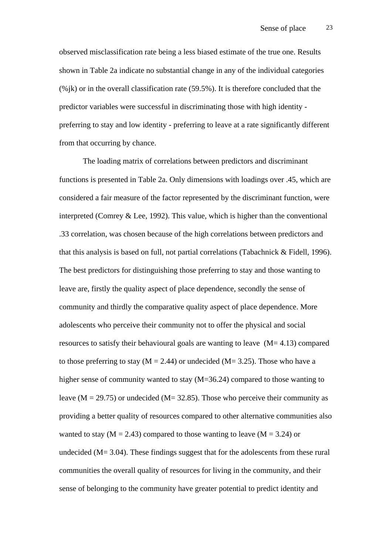observed misclassification rate being a less biased estimate of the true one. Results shown in Table 2a indicate no substantial change in any of the individual categories  $(\%$ jk) or in the overall classification rate (59.5%). It is therefore concluded that the predictor variables were successful in discriminating those with high identity preferring to stay and low identity - preferring to leave at a rate significantly different from that occurring by chance.

The loading matrix of correlations between predictors and discriminant functions is presented in Table 2a. Only dimensions with loadings over .45, which are considered a fair measure of the factor represented by the discriminant function, were interpreted (Comrey & Lee, 1992). This value, which is higher than the conventional .33 correlation, was chosen because of the high correlations between predictors and that this analysis is based on full, not partial correlations (Tabachnick & Fidell, 1996). The best predictors for distinguishing those preferring to stay and those wanting to leave are, firstly the quality aspect of place dependence, secondly the sense of community and thirdly the comparative quality aspect of place dependence. More adolescents who perceive their community not to offer the physical and social resources to satisfy their behavioural goals are wanting to leave (M= 4.13) compared to those preferring to stay ( $M = 2.44$ ) or undecided ( $M = 3.25$ ). Those who have a higher sense of community wanted to stay (M=36.24) compared to those wanting to leave ( $M = 29.75$ ) or undecided ( $M = 32.85$ ). Those who perceive their community as providing a better quality of resources compared to other alternative communities also wanted to stay ( $M = 2.43$ ) compared to those wanting to leave ( $M = 3.24$ ) or undecided (M= 3.04). These findings suggest that for the adolescents from these rural communities the overall quality of resources for living in the community, and their sense of belonging to the community have greater potential to predict identity and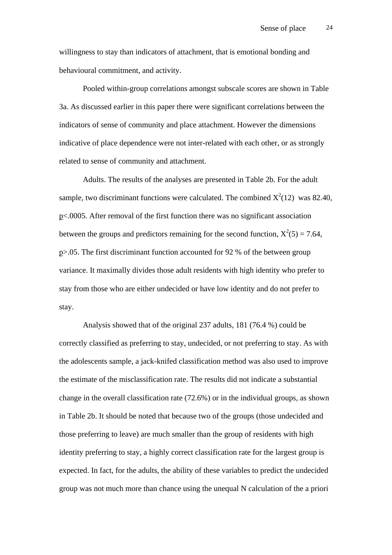willingness to stay than indicators of attachment, that is emotional bonding and behavioural commitment, and activity.

Pooled within-group correlations amongst subscale scores are shown in Table 3a. As discussed earlier in this paper there were significant correlations between the indicators of sense of community and place attachment. However the dimensions indicative of place dependence were not inter-related with each other, or as strongly related to sense of community and attachment.

Adults. The results of the analyses are presented in Table 2b. For the adult sample, two discriminant functions were calculated. The combined  $X^2(12)$  was 82.40, p<.0005. After removal of the first function there was no significant association between the groups and predictors remaining for the second function,  $X^2(5) = 7.64$ , p>.05. The first discriminant function accounted for 92 % of the between group variance. It maximally divides those adult residents with high identity who prefer to stay from those who are either undecided or have low identity and do not prefer to stay.

Analysis showed that of the original 237 adults, 181 (76.4 %) could be correctly classified as preferring to stay, undecided, or not preferring to stay. As with the adolescents sample, a jack-knifed classification method was also used to improve the estimate of the misclassification rate. The results did not indicate a substantial change in the overall classification rate (72.6%) or in the individual groups, as shown in Table 2b. It should be noted that because two of the groups (those undecided and those preferring to leave) are much smaller than the group of residents with high identity preferring to stay, a highly correct classification rate for the largest group is expected. In fact, for the adults, the ability of these variables to predict the undecided group was not much more than chance using the unequal N calculation of the a priori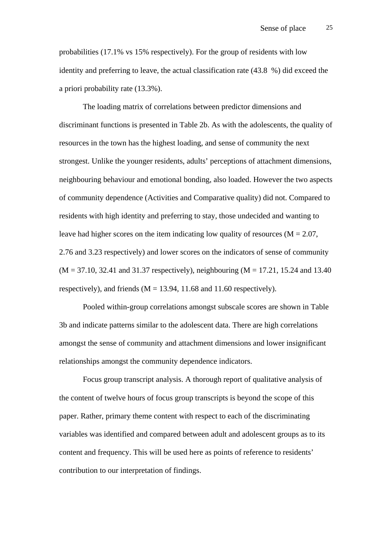probabilities (17.1% vs 15% respectively). For the group of residents with low identity and preferring to leave, the actual classification rate (43.8 %) did exceed the a priori probability rate (13.3%).

The loading matrix of correlations between predictor dimensions and discriminant functions is presented in Table 2b. As with the adolescents, the quality of resources in the town has the highest loading, and sense of community the next strongest. Unlike the younger residents, adults' perceptions of attachment dimensions, neighbouring behaviour and emotional bonding, also loaded. However the two aspects of community dependence (Activities and Comparative quality) did not. Compared to residents with high identity and preferring to stay, those undecided and wanting to leave had higher scores on the item indicating low quality of resources ( $M = 2.07$ , 2.76 and 3.23 respectively) and lower scores on the indicators of sense of community  $(M = 37.10, 32.41, and 31.37 respectively)$ , neighbouring  $(M = 17.21, 15.24, and 13.40)$ respectively), and friends ( $M = 13.94$ , 11.68 and 11.60 respectively).

Pooled within-group correlations amongst subscale scores are shown in Table 3b and indicate patterns similar to the adolescent data. There are high correlations amongst the sense of community and attachment dimensions and lower insignificant relationships amongst the community dependence indicators.

 Focus group transcript analysis. A thorough report of qualitative analysis of the content of twelve hours of focus group transcripts is beyond the scope of this paper. Rather, primary theme content with respect to each of the discriminating variables was identified and compared between adult and adolescent groups as to its content and frequency. This will be used here as points of reference to residents' contribution to our interpretation of findings.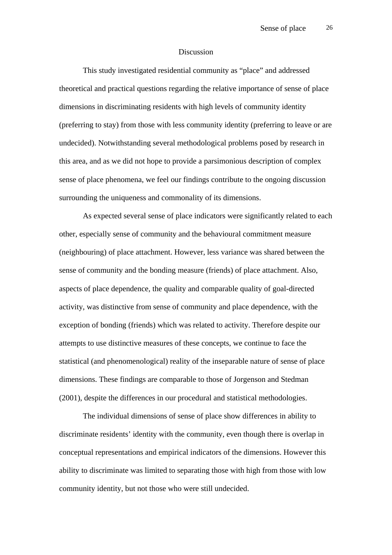#### Discussion

This study investigated residential community as "place" and addressed theoretical and practical questions regarding the relative importance of sense of place dimensions in discriminating residents with high levels of community identity (preferring to stay) from those with less community identity (preferring to leave or are undecided). Notwithstanding several methodological problems posed by research in this area, and as we did not hope to provide a parsimonious description of complex sense of place phenomena, we feel our findings contribute to the ongoing discussion surrounding the uniqueness and commonality of its dimensions.

As expected several sense of place indicators were significantly related to each other, especially sense of community and the behavioural commitment measure (neighbouring) of place attachment. However, less variance was shared between the sense of community and the bonding measure (friends) of place attachment. Also, aspects of place dependence, the quality and comparable quality of goal-directed activity, was distinctive from sense of community and place dependence, with the exception of bonding (friends) which was related to activity. Therefore despite our attempts to use distinctive measures of these concepts, we continue to face the statistical (and phenomenological) reality of the inseparable nature of sense of place dimensions. These findings are comparable to those of Jorgenson and Stedman (2001), despite the differences in our procedural and statistical methodologies.

The individual dimensions of sense of place show differences in ability to discriminate residents' identity with the community, even though there is overlap in conceptual representations and empirical indicators of the dimensions. However this ability to discriminate was limited to separating those with high from those with low community identity, but not those who were still undecided.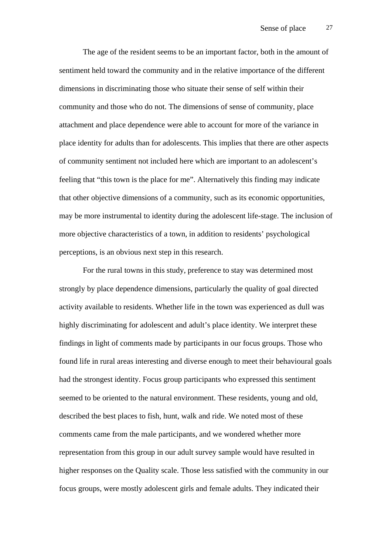The age of the resident seems to be an important factor, both in the amount of sentiment held toward the community and in the relative importance of the different dimensions in discriminating those who situate their sense of self within their community and those who do not. The dimensions of sense of community, place attachment and place dependence were able to account for more of the variance in place identity for adults than for adolescents. This implies that there are other aspects of community sentiment not included here which are important to an adolescent's feeling that "this town is the place for me". Alternatively this finding may indicate that other objective dimensions of a community, such as its economic opportunities, may be more instrumental to identity during the adolescent life-stage. The inclusion of more objective characteristics of a town, in addition to residents' psychological perceptions, is an obvious next step in this research.

For the rural towns in this study, preference to stay was determined most strongly by place dependence dimensions, particularly the quality of goal directed activity available to residents. Whether life in the town was experienced as dull was highly discriminating for adolescent and adult's place identity. We interpret these findings in light of comments made by participants in our focus groups. Those who found life in rural areas interesting and diverse enough to meet their behavioural goals had the strongest identity. Focus group participants who expressed this sentiment seemed to be oriented to the natural environment. These residents, young and old, described the best places to fish, hunt, walk and ride. We noted most of these comments came from the male participants, and we wondered whether more representation from this group in our adult survey sample would have resulted in higher responses on the Quality scale. Those less satisfied with the community in our focus groups, were mostly adolescent girls and female adults. They indicated their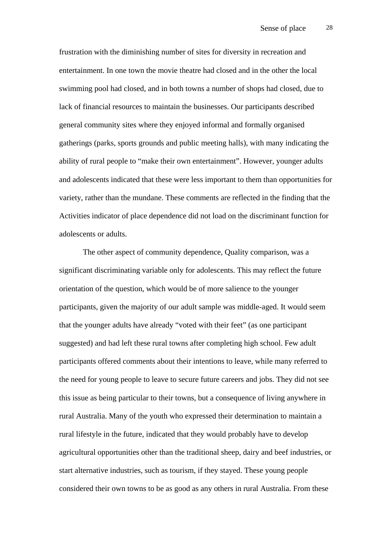frustration with the diminishing number of sites for diversity in recreation and entertainment. In one town the movie theatre had closed and in the other the local swimming pool had closed, and in both towns a number of shops had closed, due to lack of financial resources to maintain the businesses. Our participants described general community sites where they enjoyed informal and formally organised gatherings (parks, sports grounds and public meeting halls), with many indicating the ability of rural people to "make their own entertainment". However, younger adults and adolescents indicated that these were less important to them than opportunities for variety, rather than the mundane. These comments are reflected in the finding that the Activities indicator of place dependence did not load on the discriminant function for adolescents or adults.

The other aspect of community dependence, Quality comparison, was a significant discriminating variable only for adolescents. This may reflect the future orientation of the question, which would be of more salience to the younger participants, given the majority of our adult sample was middle-aged. It would seem that the younger adults have already "voted with their feet" (as one participant suggested) and had left these rural towns after completing high school. Few adult participants offered comments about their intentions to leave, while many referred to the need for young people to leave to secure future careers and jobs. They did not see this issue as being particular to their towns, but a consequence of living anywhere in rural Australia. Many of the youth who expressed their determination to maintain a rural lifestyle in the future, indicated that they would probably have to develop agricultural opportunities other than the traditional sheep, dairy and beef industries, or start alternative industries, such as tourism, if they stayed. These young people considered their own towns to be as good as any others in rural Australia. From these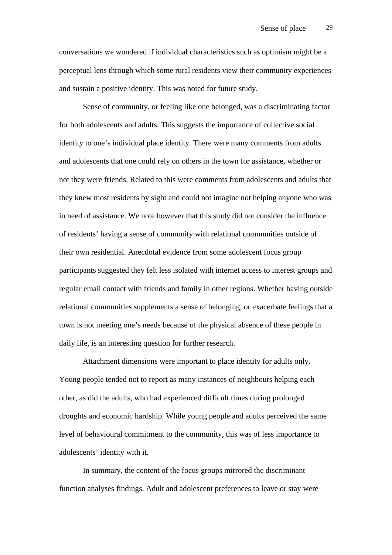conversations we wondered if individual characteristics such as optimism might be a perceptual lens through which some rural residents view their community experiences and sustain a positive identity. This was noted for future study.

Sense of community, or feeling like one belonged, was a discriminating factor for both adolescents and adults. This suggests the importance of collective social identity to one's individual place identity. There were many comments from adults and adolescents that one could rely on others in the town for assistance, whether or not they were friends. Related to this were comments from adolescents and adults that they knew most residents by sight and could not imagine not helping anyone who was in need of assistance. We note however that this study did not consider the influence of residents' having a sense of community with relational communities outside of their own residential. Anecdotal evidence from some adolescent focus group participants suggested they felt less isolated with internet access to interest groups and regular email contact with friends and family in other regions. Whether having outside relational communities supplements a sense of belonging, or exacerbate feelings that a town is not meeting one's needs because of the physical absence of these people in daily life, is an interesting question for further research.

Attachment dimensions were important to place identity for adults only. Young people tended not to report as many instances of neighbours helping each other, as did the adults, who had experienced difficult times during prolonged droughts and economic hardship. While young people and adults perceived the same level of behavioural commitment to the community, this was of less importance to adolescents' identity with it.

In summary, the content of the focus groups mirrored the discriminant function analyses findings. Adult and adolescent preferences to leave or stay were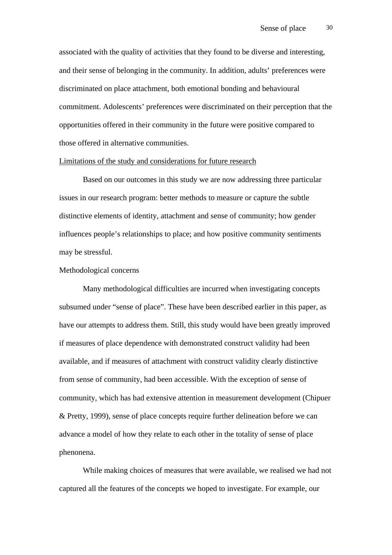associated with the quality of activities that they found to be diverse and interesting, and their sense of belonging in the community. In addition, adults' preferences were discriminated on place attachment, both emotional bonding and behavioural commitment. Adolescents' preferences were discriminated on their perception that the opportunities offered in their community in the future were positive compared to those offered in alternative communities.

#### Limitations of the study and considerations for future research

Based on our outcomes in this study we are now addressing three particular issues in our research program: better methods to measure or capture the subtle distinctive elements of identity, attachment and sense of community; how gender influences people's relationships to place; and how positive community sentiments may be stressful.

## Methodological concerns

Many methodological difficulties are incurred when investigating concepts subsumed under "sense of place". These have been described earlier in this paper, as have our attempts to address them. Still, this study would have been greatly improved if measures of place dependence with demonstrated construct validity had been available, and if measures of attachment with construct validity clearly distinctive from sense of community, had been accessible. With the exception of sense of community, which has had extensive attention in measurement development (Chipuer & Pretty, 1999), sense of place concepts require further delineation before we can advance a model of how they relate to each other in the totality of sense of place phenonena.

While making choices of measures that were available, we realised we had not captured all the features of the concepts we hoped to investigate. For example, our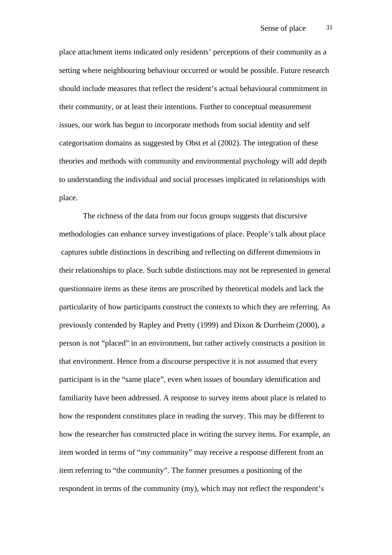place attachment items indicated only residents' perceptions of their community as a setting where neighbouring behaviour occurred or would be possible. Future research should include measures that reflect the resident's actual behavioural commitment in their community, or at least their intentions. Further to conceptual measurement issues, our work has begun to incorporate methods from social identity and self categorisation domains as suggested by Obst et al (2002). The integration of these theories and methods with community and environmental psychology will add depth to understanding the individual and social processes implicated in relationships with place.

The richness of the data from our focus groups suggests that discursive methodologies can enhance survey investigations of place. People's talk about place captures subtle distinctions in describing and reflecting on different dimensions in their relationships to place. Such subtle distinctions may not be represented in general questionnaire items as these items are proscribed by theoretical models and lack the particularity of how participants construct the contexts to which they are referring. As previously contended by Rapley and Pretty (1999) and Dixon & Durrheim (2000), a person is not "placed" in an environment, but rather actively constructs a position in that environment. Hence from a discourse perspective it is not assumed that every participant is in the "same place", even when issues of boundary identification and familiarity have been addressed. A response to survey items about place is related to how the respondent constitutes place in reading the survey. This may be different to how the researcher has constructed place in writing the survey items. For example, an item worded in terms of "my community" may receive a response different from an item referring to "the community". The former presumes a positioning of the respondent in terms of the community (my), which may not reflect the respondent's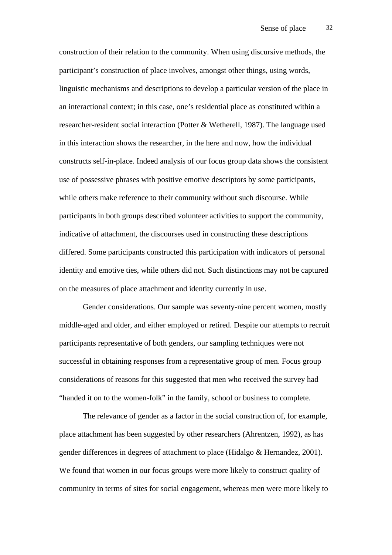construction of their relation to the community. When using discursive methods, the participant's construction of place involves, amongst other things, using words, linguistic mechanisms and descriptions to develop a particular version of the place in an interactional context; in this case, one's residential place as constituted within a researcher-resident social interaction (Potter & Wetherell, 1987). The language used in this interaction shows the researcher, in the here and now, how the individual constructs self-in-place. Indeed analysis of our focus group data shows the consistent use of possessive phrases with positive emotive descriptors by some participants, while others make reference to their community without such discourse. While participants in both groups described volunteer activities to support the community, indicative of attachment, the discourses used in constructing these descriptions differed. Some participants constructed this participation with indicators of personal identity and emotive ties, while others did not. Such distinctions may not be captured on the measures of place attachment and identity currently in use.

Gender considerations. Our sample was seventy-nine percent women, mostly middle-aged and older, and either employed or retired. Despite our attempts to recruit participants representative of both genders, our sampling techniques were not successful in obtaining responses from a representative group of men. Focus group considerations of reasons for this suggested that men who received the survey had "handed it on to the women-folk" in the family, school or business to complete.

The relevance of gender as a factor in the social construction of, for example, place attachment has been suggested by other researchers (Ahrentzen, 1992), as has gender differences in degrees of attachment to place (Hidalgo & Hernandez, 2001). We found that women in our focus groups were more likely to construct quality of community in terms of sites for social engagement, whereas men were more likely to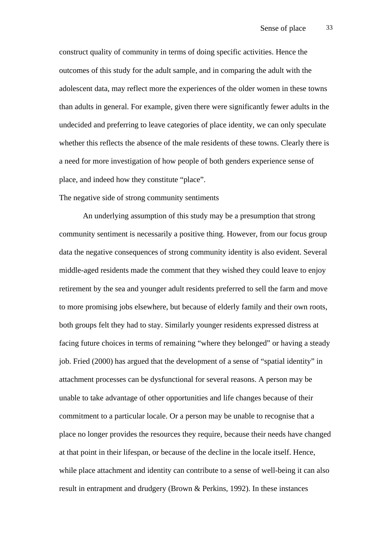construct quality of community in terms of doing specific activities. Hence the outcomes of this study for the adult sample, and in comparing the adult with the adolescent data, may reflect more the experiences of the older women in these towns than adults in general. For example, given there were significantly fewer adults in the undecided and preferring to leave categories of place identity, we can only speculate whether this reflects the absence of the male residents of these towns. Clearly there is a need for more investigation of how people of both genders experience sense of place, and indeed how they constitute "place".

The negative side of strong community sentiments

An underlying assumption of this study may be a presumption that strong community sentiment is necessarily a positive thing. However, from our focus group data the negative consequences of strong community identity is also evident. Several middle-aged residents made the comment that they wished they could leave to enjoy retirement by the sea and younger adult residents preferred to sell the farm and move to more promising jobs elsewhere, but because of elderly family and their own roots, both groups felt they had to stay. Similarly younger residents expressed distress at facing future choices in terms of remaining "where they belonged" or having a steady job. Fried (2000) has argued that the development of a sense of "spatial identity" in attachment processes can be dysfunctional for several reasons. A person may be unable to take advantage of other opportunities and life changes because of their commitment to a particular locale. Or a person may be unable to recognise that a place no longer provides the resources they require, because their needs have changed at that point in their lifespan, or because of the decline in the locale itself. Hence, while place attachment and identity can contribute to a sense of well-being it can also result in entrapment and drudgery (Brown & Perkins, 1992). In these instances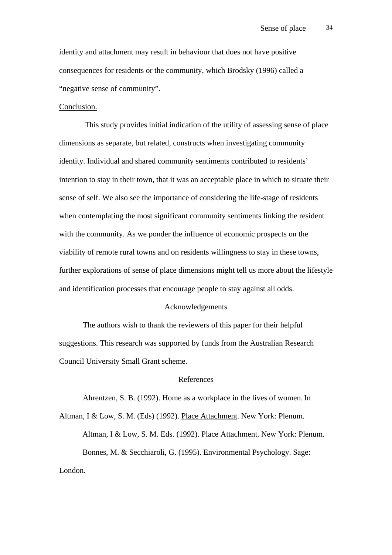identity and attachment may result in behaviour that does not have positive consequences for residents or the community, which Brodsky (1996) called a "negative sense of community".

### Conclusion.

 This study provides initial indication of the utility of assessing sense of place dimensions as separate, but related, constructs when investigating community identity. Individual and shared community sentiments contributed to residents' intention to stay in their town, that it was an acceptable place in which to situate their sense of self. We also see the importance of considering the life-stage of residents when contemplating the most significant community sentiments linking the resident with the community. As we ponder the influence of economic prospects on the viability of remote rural towns and on residents willingness to stay in these towns, further explorations of sense of place dimensions might tell us more about the lifestyle and identification processes that encourage people to stay against all odds.

### Acknowledgements

The authors wish to thank the reviewers of this paper for their helpful suggestions. This research was supported by funds from the Australian Research Council University Small Grant scheme.

## References

Ahrentzen, S. B. (1992). Home as a workplace in the lives of women. In Altman, I & Low, S. M. (Eds) (1992). Place Attachment. New York: Plenum.

Altman, I & Low, S. M. Eds. (1992). Place Attachment. New York: Plenum. Bonnes, M. & Secchiaroli, G. (1995). Environmental Psychology. Sage: London.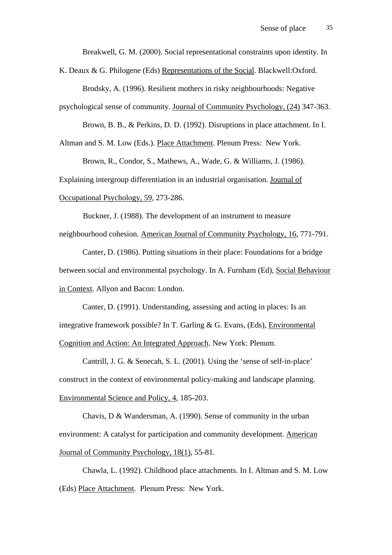Breakwell, G. M. (2000). Social representational constraints upon identity. In

K. Deaux & G. Philogene (Eds) Representations of the Social. Blackwell:Oxford.

Brodsky, A. (1996). Resilient mothers in risky neighbourhoods: Negative

psychological sense of community. Journal of Community Psychology, (24) 347-363.

Brown, B. B., & Perkins, D. D. (1992). Disruptions in place attachment. In I.

Altman and S. M. Low (Eds.). Place Attachment. Plenum Press: New York.

Brown, R., Condor, S., Mathews, A., Wade, G. & Williams, J. (1986).

Explaining intergroup differentiation in an industrial organisation. Journal of

Occupational Psychology, 59, 273-286.

Buckner, J. (1988). The development of an instrument to measure neighbourhood cohesion. American Journal of Community Psychology, 16, 771-791.

Canter, D. (1986). Putting situations in their place: Foundations for a bridge between social and environmental psychology. In A. Furnham (Ed), Social Behaviour in Context. Allyon and Bacon: London.

Canter, D. (1991). Understanding, assessing and acting in places: Is an integrative framework possible? In T. Garling & G. Evans, (Eds), Environmental Cognition and Action: An Integrated Approach. New York: Plenum.

Cantrill, J. G. & Senecah, S. L. (2001). Using the 'sense of self-in-place' construct in the context of environmental policy-making and landscape planning. Environmental Science and Policy, 4, 185-203.

Chavis, D & Wandersman, A. (1990). Sense of community in the urban environment: A catalyst for participation and community development. American Journal of Community Psychology, 18(1), 55-81.

Chawla, L. (1992). Childhood place attachments. In I. Altman and S. M. Low (Eds) Place Attachment. Plenum Press: New York.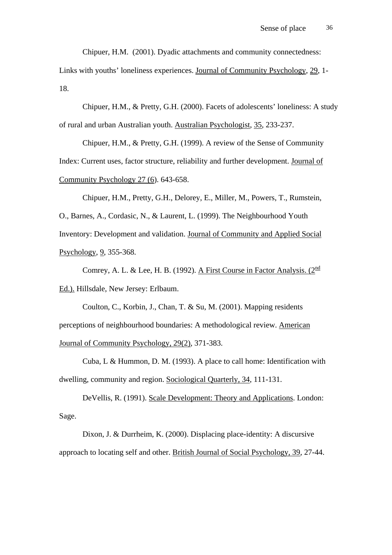Chipuer, H.M. (2001). Dyadic attachments and community connectedness:

Links with youths' loneliness experiences. Journal of Community Psychology, 29, 1- 18.

Chipuer, H.M., & Pretty, G.H. (2000). Facets of adolescents' loneliness: A study of rural and urban Australian youth. Australian Psychologist, 35, 233-237.

Chipuer, H.M., & Pretty, G.H. (1999). A review of the Sense of Community Index: Current uses, factor structure, reliability and further development. Journal of Community Psychology 27 (6). 643-658.

Chipuer, H.M., Pretty, G.H., Delorey, E., Miller, M., Powers, T., Rumstein, O., Barnes, A., Cordasic, N., & Laurent, L. (1999). The Neighbourhood Youth Inventory: Development and validation. Journal of Community and Applied Social Psychology, 9, 355-368.

Comrey, A. L. & Lee, H. B. (1992). A First Course in Factor Analysis. (2<sup>nd</sup> Ed.). Hillsdale, New Jersey: Erlbaum.

Coulton, C., Korbin, J., Chan, T. & Su, M. (2001). Mapping residents perceptions of neighbourhood boundaries: A methodological review. American Journal of Community Psychology, 29(2), 371-383.

Cuba, L & Hummon, D. M. (1993). A place to call home: Identification with dwelling, community and region. Sociological Quarterly, 34, 111-131.

DeVellis, R. (1991). Scale Development: Theory and Applications. London: Sage.

Dixon, J. & Durrheim, K. (2000). Displacing place-identity: A discursive approach to locating self and other. British Journal of Social Psychology, 39, 27-44.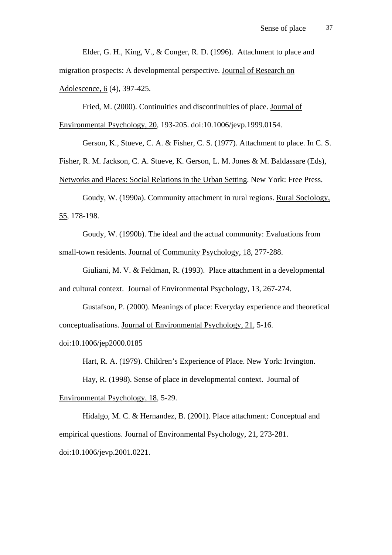Elder, G. H., King, V., & Conger, R. D. (1996). Attachment to place and migration prospects: A developmental perspective. Journal of Research on Adolescence, 6 (4), 397-425.

Fried, M. (2000). Continuities and discontinuities of place. Journal of Environmental Psychology, 20, 193-205. doi:10.1006/jevp.1999.0154.

Gerson, K., Stueve, C. A. & Fisher, C. S. (1977). Attachment to place. In C. S.

Fisher, R. M. Jackson, C. A. Stueve, K. Gerson, L. M. Jones & M. Baldassare (Eds),

Networks and Places: Social Relations in the Urban Setting. New York: Free Press.

Goudy, W. (1990a). Community attachment in rural regions. Rural Sociology, 55, 178-198.

Goudy, W. (1990b). The ideal and the actual community: Evaluations from small-town residents. Journal of Community Psychology, 18, 277-288.

Giuliani, M. V. & Feldman, R. (1993). Place attachment in a developmental and cultural context. Journal of Environmental Psychology, 13, 267-274.

Gustafson, P. (2000). Meanings of place: Everyday experience and theoretical conceptualisations. Journal of Environmental Psychology, 21, 5-16. doi:10.1006/jep2000.0185

Hart, R. A. (1979). Children's Experience of Place. New York: Irvington.

Hay, R. (1998). Sense of place in developmental context. Journal of Environmental Psychology, 18, 5-29.

Hidalgo, M. C. & Hernandez, B. (2001). Place attachment: Conceptual and empirical questions. Journal of Environmental Psychology, 21, 273-281. doi:10.1006/jevp.2001.0221.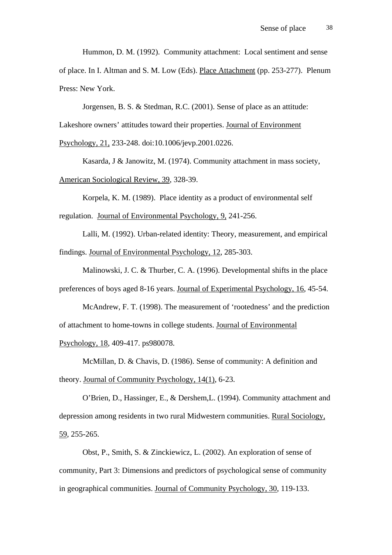Hummon, D. M. (1992). Community attachment: Local sentiment and sense

of place. In I. Altman and S. M. Low (Eds). Place Attachment (pp. 253-277). Plenum Press: New York.

Jorgensen, B. S. & Stedman, R.C. (2001). Sense of place as an attitude:

Lakeshore owners' attitudes toward their properties. Journal of Environment

Psychology, 21, 233-248. doi:10.1006/jevp.2001.0226.

Kasarda, J & Janowitz, M. (1974). Community attachment in mass society, American Sociological Review, 39, 328-39.

Korpela, K. M. (1989). Place identity as a product of environmental self regulation. Journal of Environmental Psychology, 9, 241-256.

Lalli, M. (1992). Urban-related identity: Theory, measurement, and empirical findings. Journal of Environmental Psychology, 12, 285-303.

Malinowski, J. C. & Thurber, C. A. (1996). Developmental shifts in the place preferences of boys aged 8-16 years. Journal of Experimental Psychology, 16, 45-54.

McAndrew, F. T. (1998). The measurement of 'rootedness' and the prediction of attachment to home-towns in college students. Journal of Environmental

Psychology, 18, 409-417. ps980078.

McMillan, D. & Chavis, D. (1986). Sense of community: A definition and theory. Journal of Community Psychology, 14(1), 6-23.

O'Brien, D., Hassinger, E., & Dershem,L. (1994). Community attachment and depression among residents in two rural Midwestern communities. Rural Sociology, 59, 255-265.

Obst, P., Smith, S. & Zinckiewicz, L. (2002). An exploration of sense of community, Part 3: Dimensions and predictors of psychological sense of community in geographical communities. Journal of Community Psychology, 30, 119-133.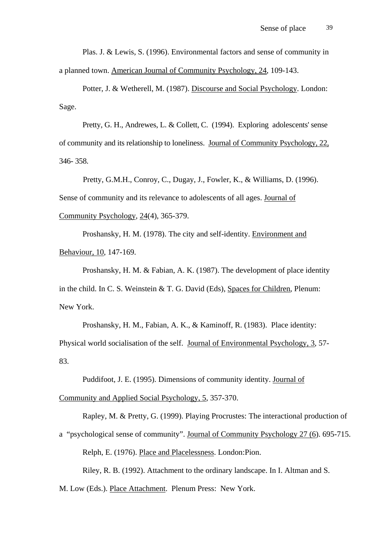Plas. J. & Lewis, S. (1996). Environmental factors and sense of community in a planned town. American Journal of Community Psychology, 24, 109-143.

Potter, J. & Wetherell, M. (1987). Discourse and Social Psychology. London: Sage.

Pretty, G. H., Andrewes, L. & Collett, C. (1994). Exploring adolescents' sense of community and its relationship to loneliness. Journal of Community Psychology, 22, 346- 358.

 Pretty, G.M.H., Conroy, C., Dugay, J., Fowler, K., & Williams, D. (1996). Sense of community and its relevance to adolescents of all ages. Journal of Community Psychology, 24(4), 365-379.

Proshansky, H. M. (1978). The city and self-identity. Environment and Behaviour, 10, 147-169.

Proshansky, H. M. & Fabian, A. K. (1987). The development of place identity in the child. In C. S. Weinstein & T. G. David (Eds), Spaces for Children, Plenum: New York.

Proshansky, H. M., Fabian, A. K., & Kaminoff, R. (1983). Place identity: Physical world socialisation of the self. Journal of Environmental Psychology, 3, 57- 83.

Puddifoot, J. E. (1995). Dimensions of community identity. Journal of

Community and Applied Social Psychology, 5, 357-370.

Rapley, M. & Pretty, G. (1999). Playing Procrustes: The interactional production of

a "psychological sense of community". Journal of Community Psychology 27 (6). 695-715.

Relph, E. (1976). Place and Placelessness. London:Pion.

Riley, R. B. (1992). Attachment to the ordinary landscape. In I. Altman and S.

M. Low (Eds.). Place Attachment. Plenum Press: New York.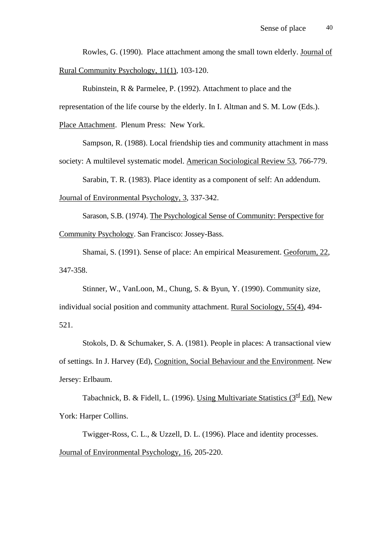Rowles, G. (1990). Place attachment among the small town elderly. Journal of Rural Community Psychology, 11(1), 103-120.

Rubinstein, R & Parmelee, P. (1992). Attachment to place and the representation of the life course by the elderly. In I. Altman and S. M. Low (Eds.). Place Attachment. Plenum Press: New York.

Sampson, R. (1988). Local friendship ties and community attachment in mass society: A multilevel systematic model. American Sociological Review 53, 766-779.

Sarabin, T. R. (1983). Place identity as a component of self: An addendum.

Journal of Environmental Psychology, 3, 337-342.

Sarason, S.B. (1974). The Psychological Sense of Community: Perspective for Community Psychology. San Francisco: Jossey-Bass.

Shamai, S. (1991). Sense of place: An empirical Measurement. Geoforum, 22, 347-358.

Stinner, W., VanLoon, M., Chung, S. & Byun, Y. (1990). Community size, individual social position and community attachment. Rural Sociology, 55(4), 494- 521.

Stokols, D. & Schumaker, S. A. (1981). People in places: A transactional view of settings. In J. Harvey (Ed), Cognition, Social Behaviour and the Environment. New Jersey: Erlbaum.

Tabachnick, B. & Fidell, L. (1996). Using Multivariate Statistics ( $3^{\text{rd}}$  Ed). New York: Harper Collins.

Twigger-Ross, C. L., & Uzzell, D. L. (1996). Place and identity processes. Journal of Environmental Psychology, 16, 205-220.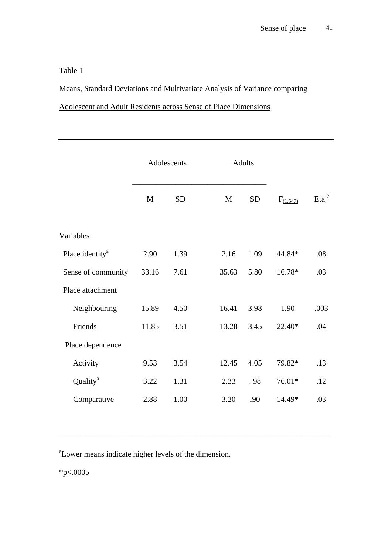Table 1

Means, Standard Deviations and Multivariate Analysis of Variance comparing

## Adolescent and Adult Residents across Sense of Place Dimensions

|                             | Adolescents              |                           | <b>Adults</b> |                          |                           |               |             |  |
|-----------------------------|--------------------------|---------------------------|---------------|--------------------------|---------------------------|---------------|-------------|--|
|                             | $\underline{\mathbf{M}}$ | $\underline{\mathrm{SD}}$ |               | $\underline{\mathbf{M}}$ | $\underline{\mathrm{SD}}$ | $F_{(1,547)}$ | $E$ ta $^2$ |  |
| Variables                   |                          |                           |               |                          |                           |               |             |  |
| Place identity <sup>a</sup> | 2.90                     | 1.39                      |               | 2.16                     | 1.09                      | 44.84*        | .08         |  |
| Sense of community          | 33.16                    | 7.61                      |               | 35.63                    | 5.80                      | 16.78*        | .03         |  |
| Place attachment            |                          |                           |               |                          |                           |               |             |  |
| Neighbouring                | 15.89                    | 4.50                      |               | 16.41                    | 3.98                      | 1.90          | .003        |  |
| Friends                     | 11.85                    | 3.51                      |               | 13.28                    | 3.45                      | 22.40*        | .04         |  |
| Place dependence            |                          |                           |               |                          |                           |               |             |  |
| Activity                    | 9.53                     | 3.54                      |               | 12.45                    | 4.05                      | 79.82*        | .13         |  |
| Quality <sup>a</sup>        | 3.22                     | 1.31                      |               | 2.33                     | .98                       | 76.01*        | .12         |  |
| Comparative                 | 2.88                     | 1.00                      |               | 3.20                     | .90                       | 14.49*        | .03         |  |
|                             |                          |                           |               |                          |                           |               |             |  |

\_\_\_\_\_\_\_\_\_\_\_\_\_\_\_\_\_\_\_\_\_\_\_\_\_\_\_\_\_\_\_\_\_\_\_\_\_\_\_\_\_\_\_\_\_\_\_\_\_\_\_\_\_\_\_\_\_\_\_\_\_\_\_\_\_\_\_\_\_\_\_\_\_\_\_\_\_\_\_\_\_\_\_\_\_\_\_\_\_\_\_\_\_\_\_\_\_\_\_\_\_\_\_

<sup>a</sup> Lower means indicate higher levels of the dimension.

 $*_{p<.0005}$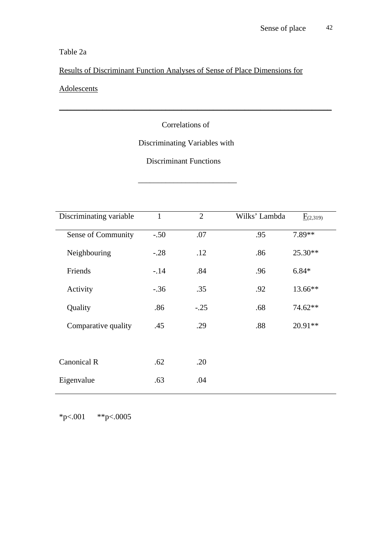## Table 2a

Results of Discriminant Function Analyses of Sense of Place Dimensions for

## **Adolescents**

## Correlations of

\_\_\_\_\_\_\_\_\_\_\_\_\_\_\_\_\_\_\_\_\_\_\_\_\_\_\_\_\_\_\_\_\_\_\_\_\_\_\_\_\_\_\_\_\_\_\_\_\_\_\_\_\_\_\_\_\_\_\_\_\_\_\_\_\_\_\_\_\_

## Discriminating Variables with

## Discriminant Functions

 $\frac{1}{\sqrt{2}}$  ,  $\frac{1}{\sqrt{2}}$  ,  $\frac{1}{\sqrt{2}}$  ,  $\frac{1}{\sqrt{2}}$  ,  $\frac{1}{\sqrt{2}}$  ,  $\frac{1}{\sqrt{2}}$  ,  $\frac{1}{\sqrt{2}}$  ,  $\frac{1}{\sqrt{2}}$  ,  $\frac{1}{\sqrt{2}}$  ,  $\frac{1}{\sqrt{2}}$  ,  $\frac{1}{\sqrt{2}}$  ,  $\frac{1}{\sqrt{2}}$  ,  $\frac{1}{\sqrt{2}}$  ,  $\frac{1}{\sqrt{2}}$  ,  $\frac{1}{\sqrt{2}}$ 

| Discriminating variable | $\mathbf{1}$ | $\overline{2}$ | Wilks' Lambda | $\underline{F}(2,319)$ |
|-------------------------|--------------|----------------|---------------|------------------------|
| Sense of Community      | $-.50$       | .07            | .95           | 7.89**                 |
| Neighbouring            | $-.28$       | .12            | .86           | 25.30**                |
| Friends                 | $-.14$       | .84            | .96           | $6.84*$                |
| Activity                | $-.36$       | .35            | .92           | 13.66**                |
| Quality                 | .86          | $-.25$         | .68           | 74.62**                |
| Comparative quality     | .45          | .29            | .88           | $20.91**$              |
|                         |              |                |               |                        |
| Canonical R             | .62          | .20            |               |                        |
| Eigenvalue              | .63          | .04            |               |                        |

\*p<.001 \*\*p<.0005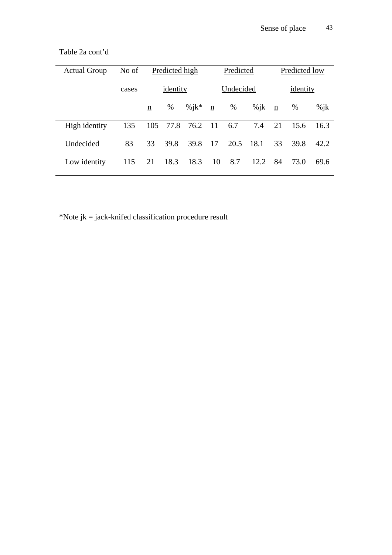| <b>Actual Group</b> | No of | Predicted high  |      |           | Predicted |          |         | Predicted low |      |         |
|---------------------|-------|-----------------|------|-----------|-----------|----------|---------|---------------|------|---------|
|                     | cases | identity        |      | Undecided |           | identity |         |               |      |         |
|                     |       | $\underline{n}$ | $\%$ | % $ik^*$  | n         | %        | $\%$ jk | $\mathbf n$   | %    | $\%$ ik |
| High identity       | 135   | 105             | 77.8 | 76.2      | 11        | 6.7      | 7.4     | 21            | 15.6 | 16.3    |
| Undecided           | 83    | 33              | 39.8 | 39.8      | 17        | 20.5     | 18.1    | 33            | 39.8 | 42.2    |
| Low identity        | 115   | 21              | 18.3 | 18.3      | 10        | 8.7      | 12.2    | 84            | 73.0 | 69.6    |

Table 2a cont'd

\*Note jk = jack-knifed classification procedure result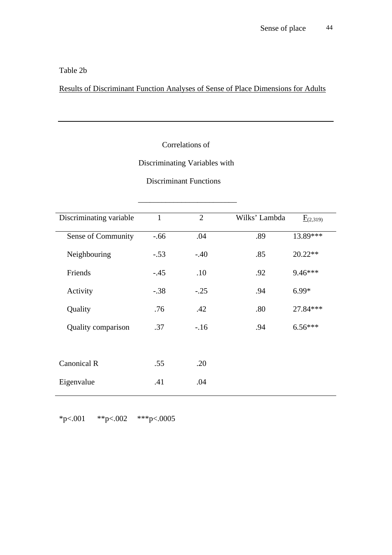Table 2b

Results of Discriminant Function Analyses of Sense of Place Dimensions for Adults

## Correlations of

## Discriminating Variables with

## Discriminant Functions

 $\frac{1}{\sqrt{2}}$  ,  $\frac{1}{\sqrt{2}}$  ,  $\frac{1}{\sqrt{2}}$  ,  $\frac{1}{\sqrt{2}}$  ,  $\frac{1}{\sqrt{2}}$  ,  $\frac{1}{\sqrt{2}}$  ,  $\frac{1}{\sqrt{2}}$  ,  $\frac{1}{\sqrt{2}}$  ,  $\frac{1}{\sqrt{2}}$  ,  $\frac{1}{\sqrt{2}}$  ,  $\frac{1}{\sqrt{2}}$  ,  $\frac{1}{\sqrt{2}}$  ,  $\frac{1}{\sqrt{2}}$  ,  $\frac{1}{\sqrt{2}}$  ,  $\frac{1}{\sqrt{2}}$ 

| Discriminating variable | $\mathbf{1}$ | $\overline{2}$ | Wilks' Lambda | $E_{(2,319)}$ |
|-------------------------|--------------|----------------|---------------|---------------|
| Sense of Community      | $-.66$       | .04            | .89           | 13.89***      |
| Neighbouring            | $-.53$       | $-.40$         | .85           | $20.22**$     |
| Friends                 | $-.45$       | .10            | .92           | 9.46***       |
| Activity                | $-.38$       | $-.25$         | .94           | $6.99*$       |
| Quality                 | .76          | .42            | .80           | 27.84***      |
| Quality comparison      | .37          | $-.16$         | .94           | $6.56***$     |
|                         |              |                |               |               |
| Canonical R             | .55          | .20            |               |               |
| Eigenvalue              | .41          | .04            |               |               |

\*p<.001 \*\*p<.002 \*\*\*p<.0005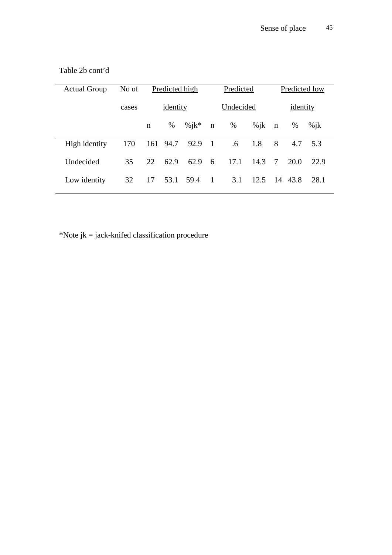| No of | Predicted high |      |          |             | Predicted                         |         |             | Predicted low     |         |  |
|-------|----------------|------|----------|-------------|-----------------------------------|---------|-------------|-------------------|---------|--|
| cases | identity       |      |          |             | Undecided                         |         |             | identity          |         |  |
|       | n              | %    | % $ik^*$ | $\mathbf n$ | %                                 | $\%$ jk | $\mathbf n$ | $\%$              | $\%$ ik |  |
| 170   |                |      |          |             | .6                                | 1.8     | 8           | 4.7               | 5.3     |  |
| 35    | 22             | 62.9 | 62.9     | - 6         | 17.1                              | 14.3    |             | 20.0              | 22.9    |  |
| 32    | 17             |      |          |             | 3.1                               | 12.5    |             |                   | 28.1    |  |
|       |                |      |          | 53.1 59.4   | 161 94.7 92.9 1<br>$\overline{1}$ |         |             | $7\phantom{.0}\,$ | 14 43.8 |  |

Table 2b cont'd

\*Note jk = jack-knifed classification procedure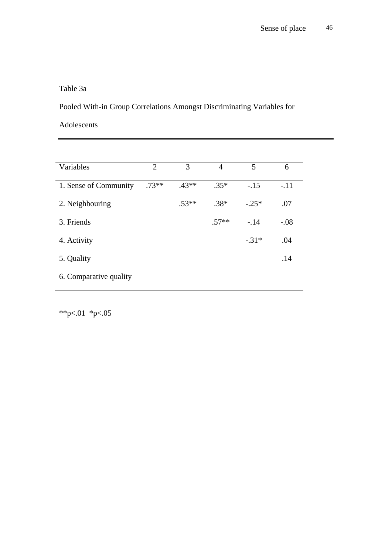## Table 3a

Pooled With-in Group Correlations Amongst Discriminating Variables for

Adolescents

| Variables              | $\overline{2}$ | 3       | $\overline{4}$ | 5       | 6      |
|------------------------|----------------|---------|----------------|---------|--------|
|                        |                |         |                |         |        |
| 1. Sense of Community  | $.73**$        | $.43**$ | $.35*$         | $-.15$  | $-.11$ |
|                        |                |         |                |         |        |
| 2. Neighbouring        |                | $.53**$ | $.38*$         | $-.25*$ | .07    |
|                        |                |         |                |         |        |
| 3. Friends             |                |         | $.57**$        | $-.14$  | $-.08$ |
|                        |                |         |                |         |        |
| 4. Activity            |                |         |                | $-.31*$ | .04    |
|                        |                |         |                |         |        |
| 5. Quality             |                |         |                |         | .14    |
|                        |                |         |                |         |        |
| 6. Comparative quality |                |         |                |         |        |
|                        |                |         |                |         |        |

\*\*p<.01 \*p<.05